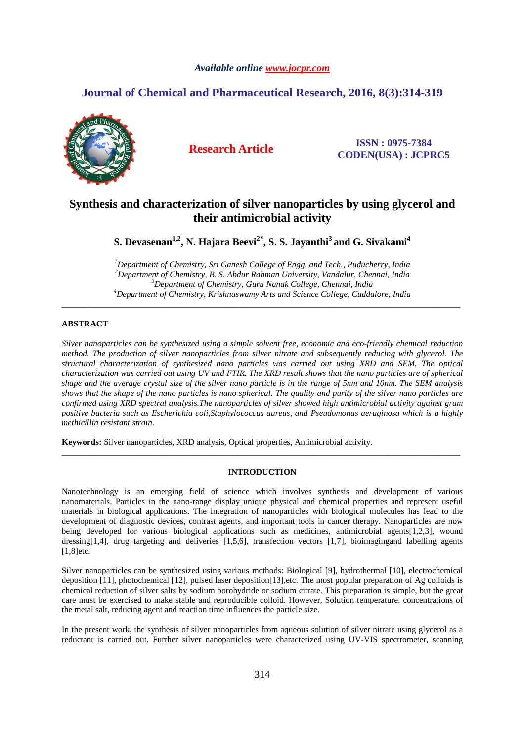## *Available online www.jocpr.com*

# **Journal of Chemical and Pharmaceutical Research, 2016, 8(3):314-319**



**Research Article ISSN : 0975-7384 CODEN(USA) : JCPRC5**

# **Synthesis and characterization of silver nanoparticles by using glycerol and their antimicrobial activity**

**S. Devasenan1,2, N. Hajara Beevi2\*, S. S. Jayanthi<sup>3</sup>and G. Sivakami<sup>4</sup>**

*Department of Chemistry, Sri Ganesh College of Engg. and Tech., Puducherry, India Department of Chemistry, B. S. Abdur Rahman University, Vandalur, Chennai, India Department of Chemistry, Guru Nanak College, Chennai, India Department of Chemistry, Krishnaswamy Arts and Science College, Cuddalore, India* 

\_\_\_\_\_\_\_\_\_\_\_\_\_\_\_\_\_\_\_\_\_\_\_\_\_\_\_\_\_\_\_\_\_\_\_\_\_\_\_\_\_\_\_\_\_\_\_\_\_\_\_\_\_\_\_\_\_\_\_\_\_\_\_\_\_\_\_\_\_\_\_\_\_\_\_\_\_\_\_\_\_\_\_\_\_\_\_\_\_\_\_\_\_

## **ABSTRACT**

*Silver nanoparticles can be synthesized using a simple solvent free, economic and eco-friendly chemical reduction method. The production of silver nanoparticles from silver nitrate and subsequently reducing with glycerol. The structural characterization of synthesized nano particles was carried out using XRD and SEM. The optical characterization was carried out using UV and FTIR. The XRD result shows that the nano particles are of spherical shape and the average crystal size of the silver nano particle is in the range of 5nm and 10nm. The SEM analysis shows that the shape of the nano particles is nano spherical. The quality and purity of the silver nano particles are confirmed using XRD spectral analysis.The nanoparticles of silver showed high antimicrobial activity against gram positive bacteria such as Escherichia coli,Staphylococcus aureus, and Pseudomonas aeruginosa which is a highly methicillin resistant strain.* 

**Keywords:** Silver nanoparticles, XRD analysis, Optical properties, Antimicrobial activity.

## **INTRODUCTION**

\_\_\_\_\_\_\_\_\_\_\_\_\_\_\_\_\_\_\_\_\_\_\_\_\_\_\_\_\_\_\_\_\_\_\_\_\_\_\_\_\_\_\_\_\_\_\_\_\_\_\_\_\_\_\_\_\_\_\_\_\_\_\_\_\_\_\_\_\_\_\_\_\_\_\_\_\_\_\_\_\_\_\_\_\_\_\_\_\_\_\_\_\_

Nanotechnology is an emerging field of science which involves synthesis and development of various nanomaterials. Particles in the nano-range display unique physical and chemical properties and represent useful materials in biological applications. The integration of nanoparticles with biological molecules has lead to the development of diagnostic devices, contrast agents, and important tools in cancer therapy. Nanoparticles are now being developed for various biological applications such as medicines, antimicrobial agents[1,2,3], wound dressing[1,4], drug targeting and deliveries [1,5,6], transfection vectors [1,7], bioimagingand labelling agents [1,8]etc.

Silver nanoparticles can be synthesized using various methods: Biological [9], hydrothermal [10], electrochemical deposition [11], photochemical [12], pulsed laser deposition[13],etc. The most popular preparation of Ag colloids is chemical reduction of silver salts by sodium borohydride or sodium citrate. This preparation is simple, but the great care must be exercised to make stable and reproducible colloid. However, Solution temperature, concentrations of the metal salt, reducing agent and reaction time influences the particle size.

In the present work, the synthesis of silver nanoparticles from aqueous solution of silver nitrate using glycerol as a reductant is carried out. Further silver nanoparticles were characterized using UV-VIS spectrometer, scanning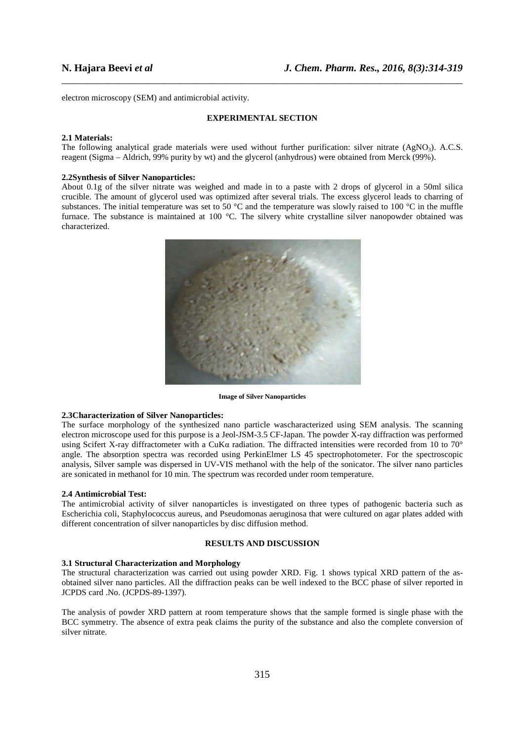electron microscopy (SEM) and antimicrobial activity.

## **EXPERIMENTAL SECTION**

\_\_\_\_\_\_\_\_\_\_\_\_\_\_\_\_\_\_\_\_\_\_\_\_\_\_\_\_\_\_\_\_\_\_\_\_\_\_\_\_\_\_\_\_\_\_\_\_\_\_\_\_\_\_\_\_\_\_\_\_\_\_\_\_\_\_\_\_\_\_\_\_\_\_\_\_\_\_

#### **2.1 Materials:**

The following analytical grade materials were used without further purification: silver nitrate  $(AgNO<sub>3</sub>)$ . A.C.S. reagent (Sigma – Aldrich, 99% purity by wt) and the glycerol (anhydrous) were obtained from Merck (99%).

## **2.2Synthesis of Silver Nanoparticles:**

About 0.1g of the silver nitrate was weighed and made in to a paste with 2 drops of glycerol in a 50ml silica crucible. The amount of glycerol used was optimized after several trials. The excess glycerol leads to charring of substances. The initial temperature was set to 50  $^{\circ}$ C and the temperature was slowly raised to 100  $^{\circ}$ C in the muffle furnace. The substance is maintained at 100 °C. The silvery white crystalline silver nanopowder obtained was characterized.



**Image of Silver Nanoparticles** 

## **2.3Characterization of Silver Nanoparticles:**

The surface morphology of the synthesized nano particle wascharacterized using SEM analysis. The scanning electron microscope used for this purpose is a Jeol-JSM-3.5 CF-Japan. The powder X-ray diffraction was performed using Scifert X-ray diffractometer with a CuKα radiation. The diffracted intensities were recorded from 10 to 70° angle. The absorption spectra was recorded using PerkinElmer LS 45 spectrophotometer. For the spectroscopic analysis, Silver sample was dispersed in UV-VIS methanol with the help of the sonicator. The silver nano particles are sonicated in methanol for 10 min. The spectrum was recorded under room temperature.

#### **2.4 Antimicrobial Test:**

The antimicrobial activity of silver nanoparticles is investigated on three types of pathogenic bacteria such as Escherichia coli, Staphylococcus aureus, and Pseudomonas aeruginosa that were cultured on agar plates added with different concentration of silver nanoparticles by disc diffusion method.

## **RESULTS AND DISCUSSION**

## **3.1 Structural Characterization and Morphology**

The structural characterization was carried out using powder XRD. Fig. 1 shows typical XRD pattern of the asobtained silver nano particles. All the diffraction peaks can be well indexed to the BCC phase of silver reported in JCPDS card .No. (JCPDS-89-1397).

The analysis of powder XRD pattern at room temperature shows that the sample formed is single phase with the BCC symmetry. The absence of extra peak claims the purity of the substance and also the complete conversion of silver nitrate.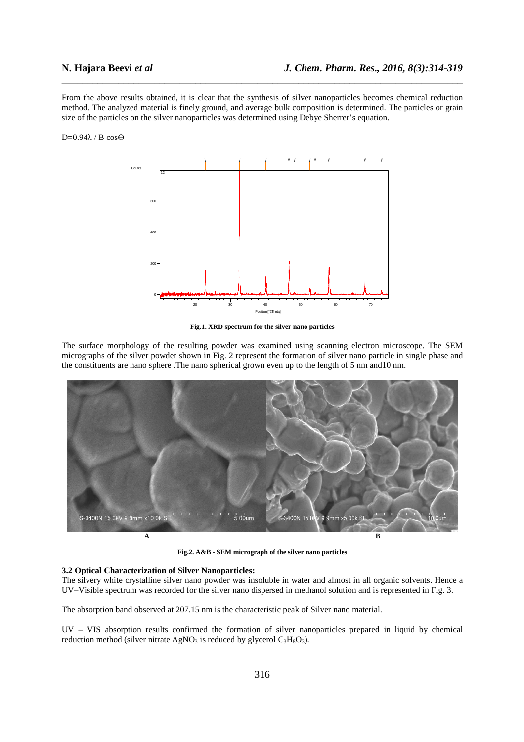From the above results obtained, it is clear that the synthesis of silver nanoparticles becomes chemical reduction method. The analyzed material is finely ground, and average bulk composition is determined. The particles or grain size of the particles on the silver nanoparticles was determined using Debye Sherrer's equation.

\_\_\_\_\_\_\_\_\_\_\_\_\_\_\_\_\_\_\_\_\_\_\_\_\_\_\_\_\_\_\_\_\_\_\_\_\_\_\_\_\_\_\_\_\_\_\_\_\_\_\_\_\_\_\_\_\_\_\_\_\_\_\_\_\_\_\_\_\_\_\_\_\_\_\_\_\_\_

#### D=0.94λ / B cosӨ



**Fig.1. XRD spectrum for the silver nano particles** 

The surface morphology of the resulting powder was examined using scanning electron microscope. The SEM micrographs of the silver powder shown in Fig. 2 represent the formation of silver nano particle in single phase and the constituents are nano sphere .The nano spherical grown even up to the length of 5 nm and10 nm.



**Fig.2. A&B - SEM micrograph of the silver nano particles** 

### **3.2 Optical Characterization of Silver Nanoparticles:**

The silvery white crystalline silver nano powder was insoluble in water and almost in all organic solvents. Hence a UV–Visible spectrum was recorded for the silver nano dispersed in methanol solution and is represented in Fig. 3.

The absorption band observed at 207.15 nm is the characteristic peak of Silver nano material.

UV – VIS absorption results confirmed the formation of silver nanoparticles prepared in liquid by chemical reduction method (silver nitrate  $AgNO<sub>3</sub>$  is reduced by glycerol  $C<sub>3</sub>H<sub>8</sub>O<sub>3</sub>$ ).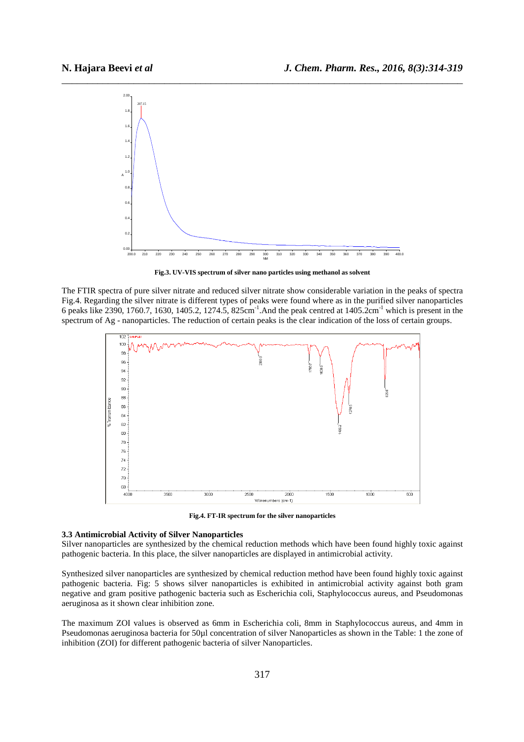

**Fig.3. UV-VIS spectrum of silver nano particles using methanol as solvent** 

The FTIR spectra of pure silver nitrate and reduced silver nitrate show considerable variation in the peaks of spectra Fig.4. Regarding the silver nitrate is different types of peaks were found where as in the purified silver nanoparticles 6 peaks like 2390, 1760.7, 1630, 1405.2, 1274.5, 825cm-1.And the peak centred at 1405.2cm-1 which is present in the spectrum of Ag - nanoparticles. The reduction of certain peaks is the clear indication of the loss of certain groups.



**Fig.4. FT-IR spectrum for the silver nanoparticles** 

## **3.3 Antimicrobial Activity of Silver Nanoparticles**

Silver nanoparticles are synthesized by the chemical reduction methods which have been found highly toxic against pathogenic bacteria. In this place, the silver nanoparticles are displayed in antimicrobial activity.

Synthesized silver nanoparticles are synthesized by chemical reduction method have been found highly toxic against pathogenic bacteria. Fig: 5 shows silver nanoparticles is exhibited in antimicrobial activity against both gram negative and gram positive pathogenic bacteria such as Escherichia coli, Staphylococcus aureus, and Pseudomonas aeruginosa as it shown clear inhibition zone.

The maximum ZOI values is observed as 6mm in Escherichia coli, 8mm in Staphylococcus aureus, and 4mm in Pseudomonas aeruginosa bacteria for 50µl concentration of silver Nanoparticles as shown in the Table: 1 the zone of inhibition (ZOI) for different pathogenic bacteria of silver Nanoparticles.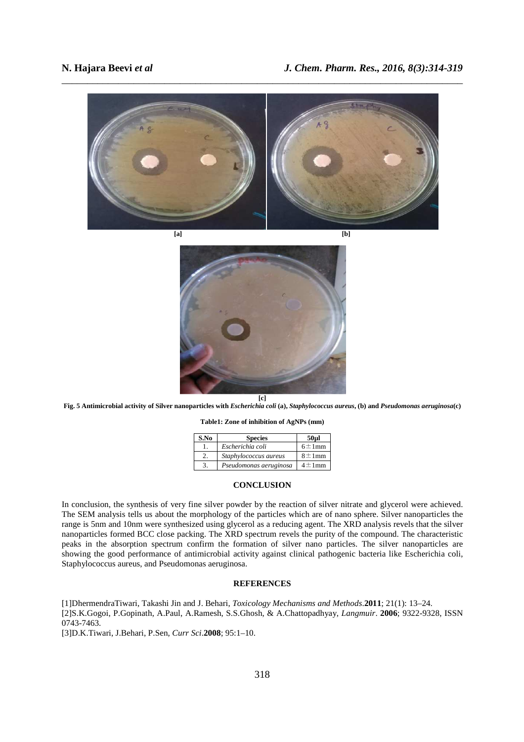



**Fig. 5 Antimicrobial activity of Silver nanoparticles with** *Escherichia coli* **(a),** *Staphylococcus aureus***, (b) and** *Pseudomonas aeruginosa***(c)** 

**Table1: Zone of inhibition of AgNPs (mm)** 

| S.No | <b>Species</b>         | 50ul         |
|------|------------------------|--------------|
|      | Escherichia coli       | $6 \pm 1$ mm |
|      | Staphylococcus aureus  | $8 \pm 1$ mm |
| 3.   | Pseudomonas aeruginosa | $4 \pm 1$ mm |

## **CONCLUSION**

In conclusion, the synthesis of very fine silver powder by the reaction of silver nitrate and glycerol were achieved. The SEM analysis tells us about the morphology of the particles which are of nano sphere. Silver nanoparticles the range is 5nm and 10nm were synthesized using glycerol as a reducing agent. The XRD analysis revels that the silver nanoparticles formed BCC close packing. The XRD spectrum revels the purity of the compound. The characteristic peaks in the absorption spectrum confirm the formation of silver nano particles. The silver nanoparticles are showing the good performance of antimicrobial activity against clinical pathogenic bacteria like Escherichia coli, Staphylococcus aureus, and Pseudomonas aeruginosa.

## **REFERENCES**

[1]DhermendraTiwari, Takashi Jin and J. Behari, *Toxicology Mechanisms and Methods*.**2011**; 21(1): 13–24. [2]S.K.Gogoi, P.Gopinath, A.Paul, A.Ramesh, S.S.Ghosh, & A.Chattopadhyay, *Langmuir*. **2006**; 9322-9328, ISSN 0743-7463.

[3]D.K.Tiwari, J.Behari, P.Sen, *Curr Sci*.**2008**; 95:1–10.